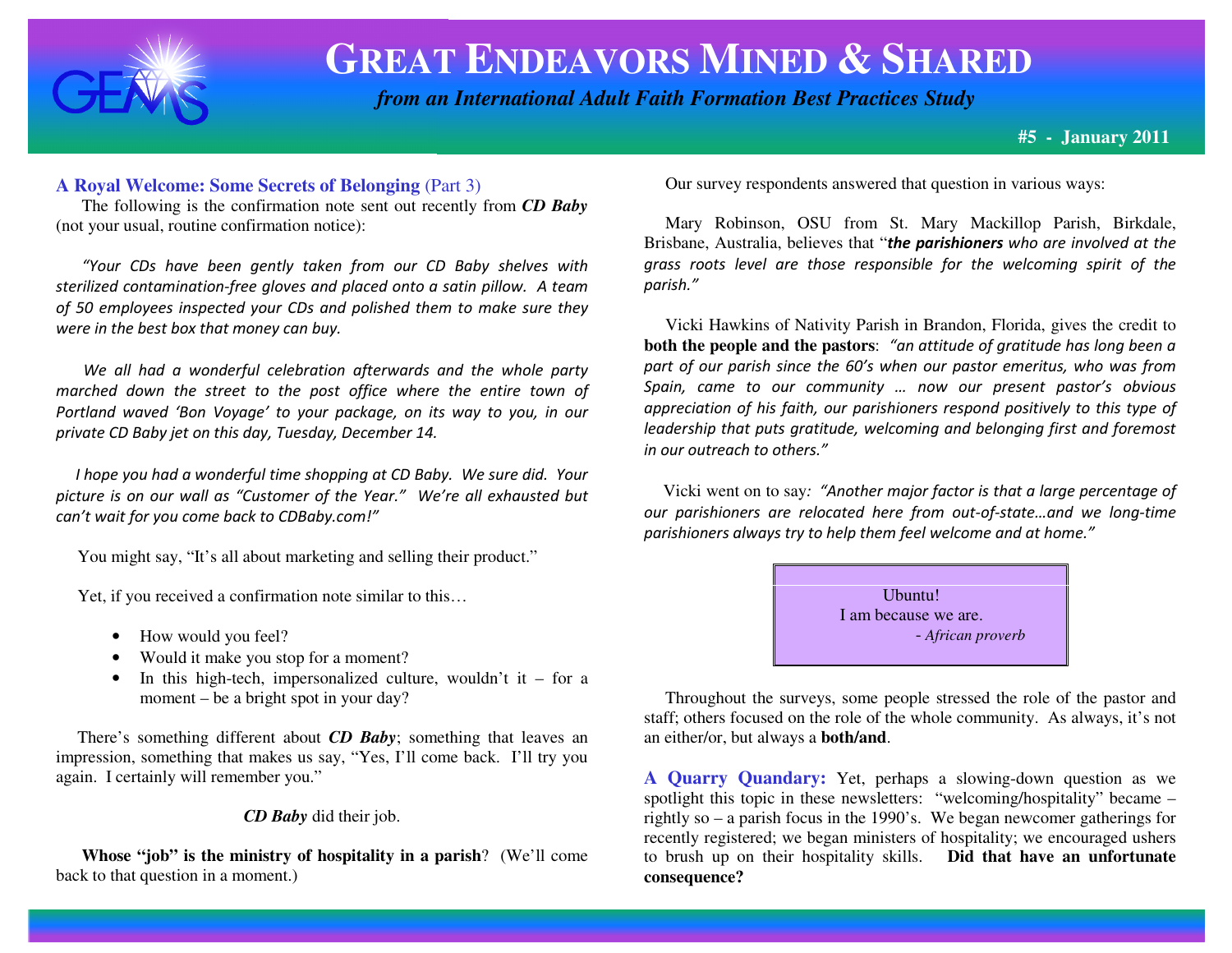

# **GREAT ENDEAVORS MINED & <sup>S</sup>HARED**

 *from an International Adult Faith Formation Best Practices Study*

**#5 - January 2011**

#### **A Royal Welcome: Some Secrets of Belonging** (Part 3)

 The following is the confirmation note sent out recently from *CD Baby*(not your usual, routine confirmation notice):

"Your CDs have been gently taken from our CD Baby shelves with sterilized contamination-free gloves and placed onto a satin pillow. A team of 50 employees inspected your CDs and polished them to make sure they were in the best box that money can buy.

We all had a wonderful celebration afterwards and the whole party marched down the street to the post office where the entire town of Portland waved 'Bon Voyage' to your package, on its way to you, in our private CD Baby jet on this day, Tuesday, December 14.

 I hope you had a wonderful time shopping at CD Baby. We sure did. Your picture is on our wall as "Customer of the Year." We're all exhausted but can't wait for you come back to CDBaby.com!"

You might say, "It's all about marketing and selling their product."

Yet, if you received a confirmation note similar to this…

- How would you feel?
- Would it make you stop for a moment?
- •In this high-tech, impersonalized culture, wouldn't it – for a moment – be a bright spot in your day?

 There's something different about *CD Baby*; something that leaves an impression, something that makes us say, "Yes, I'll come back. I'll try you again. I certainly will remember you."

#### *CD Baby* did their job.

**Whose "job" is the ministry of hospitality in a parish**? (We'll come back to that question in a moment.)

Our survey respondents answered that question in various ways:

 Mary Robinson, OSU from St. Mary Mackillop Parish, Birkdale, Brisbane, Australia, believes that "the parishioners who are involved at the grass roots level are those responsible for the welcoming spirit of the parish."

 Vicki Hawkins of Nativity Parish in Brandon, Florida, gives the credit to **both the people and the pastors**: "an attitude of gratitude has long been a part of our parish since the 60's when our pastor emeritus, who was from Spain, came to our community … now our present pastor's obvious appreciation of his faith, our parishioners respond positively to this type of leadership that puts gratitude, welcoming and belonging first and foremost in our outreach to others."

Vicki went on to say: "Another major factor is that a large percentage of our parishioners are relocated here from out-of-state…and we long-time parishioners always try to help them feel welcome and at home."

> Ubuntu! I am because we are. - *African proverb*

 Throughout the surveys, some people stressed the role of the pastor and staff; others focused on the role of the whole community. As always, it's not an either/or, but always a **both/and**.

**A Quarry Quandary:** Yet, perhaps a slowing-down question as we spotlight this topic in these newsletters: "welcoming/hospitality" became – rightly so – a parish focus in the 1990's. We began newcomer gatherings for recently registered; we began ministers of hospitality; we encouraged ushers to brush up on their hospitality skills. **Did that have an unfortunate consequence?**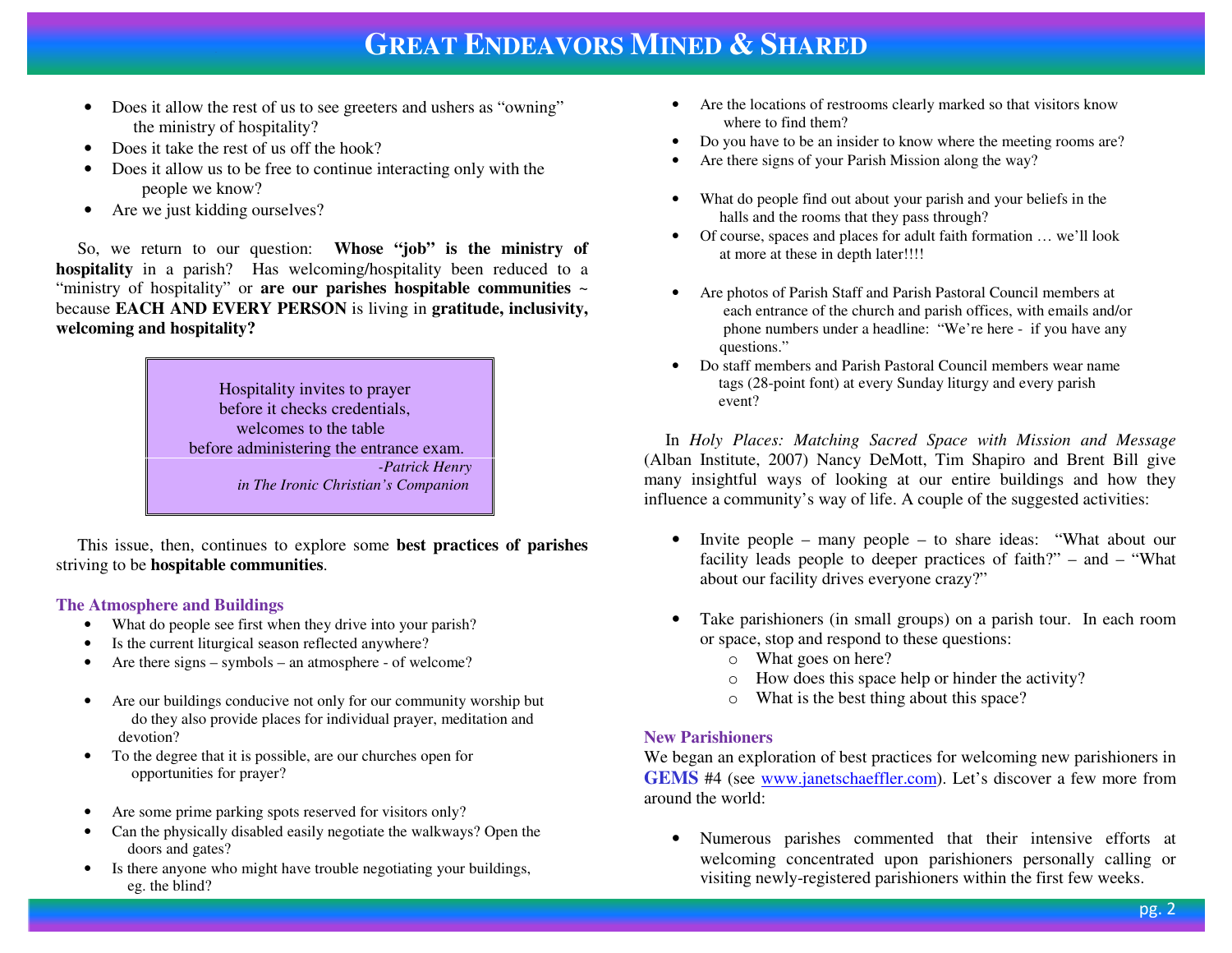## **GREAT ENDEAVORS MINED &SHARED**

- •Does it allow the rest of us to see greeters and ushers as "owning" the ministry of hospitality?
- •Does it take the rest of us off the hook?
- • Does it allow us to be free to continue interacting only with the people we know?
- Are we just kidding ourselves? •

 So, we return to our question: **Whose "job" is the ministry of hospitality** in a parish? Has welcoming/hospitality been reduced to a "ministry of hospitality" or **are our parishes hospitable communities** <sup>~</sup> because **EACH AND EVERY PERSON** is living in **gratitude, inclusivity, welcoming and hospitality?** 

> Hospitality invites to prayer before it checks credentials, welcomes to the table before administering the entrance exam. *<b><i>Advised Assembly Advised Advised Advised Advised Advised Advised Advised Advised Advised Advised Advised Advised Advised Advised Advised Advised Advised Advised Advised Advised Advised Advised Advised Advised Advised A in The Ironic Christian's Companion*

 This issue, then, continues to explore some **best practices of parishes**striving to be **hospitable communities**.

#### **The Atmosphere and Buildings**

- What do people see first when they drive into your parish?
- Is the current liturgical season reflected anywhere?
- •Are there signs – symbols – an atmosphere - of welcome?
- • Are our buildings conducive not only for our community worship but do they also provide places for individual prayer, meditation and devotion?
- To the degree that it is possible, are our churches open for opportunities for prayer?
- •Are some prime parking spots reserved for visitors only?
- • Can the physically disabled easily negotiate the walkways? Open the doors and gates?
- Is there anyone who might have trouble negotiating your buildings, eg. the blind?
- • Are the locations of restrooms clearly marked so that visitors know where to find them?
- •Do you have to be an insider to know where the meeting rooms are?
- •Are there signs of your Parish Mission along the way?
- • What do people find out about your parish and your beliefs in the halls and the rooms that they pass through?
- Of course, spaces and places for adult faith formation … we'll look at more at these in depth later!!!!
- Are photos of Parish Staff and Parish Pastoral Council members at each entrance of the church and parish offices, with emails and/or phone numbers under a headline: "We're here - if you have any questions."
- Do staff members and Parish Pastoral Council members wear name tags (28-point font) at every Sunday liturgy and every parish event?

 In *Holy Places: Matching Sacred Space with Mission and Message* (Alban Institute, 2007) Nancy DeMott, Tim Shapiro and Brent Bill give many insightful ways of looking at our entire buildings and how they influence a community's way of life. A couple of the suggested activities:

- Invite people many people to share ideas: "What about our facility leads people to deeper practices of faith?" – and – "What about our facility drives everyone crazy?"
- • Take parishioners (in small groups) on a parish tour. In each room or space, stop and respond to these questions:
	- o What goes on here?
	- $\circ$  How does this space help or hinder the activity?
	- o What is the best thing about this space?

#### **New Parishioners**

 We began an exploration of best practices for welcoming new parishioners in GEMS #4 (see www.janetschaeffler.com). Let's discover a few more from around the world:

• Numerous parishes commented that their intensive efforts at welcoming concentrated upon parishioners personally calling or visiting newly-registered parishioners within the first few weeks.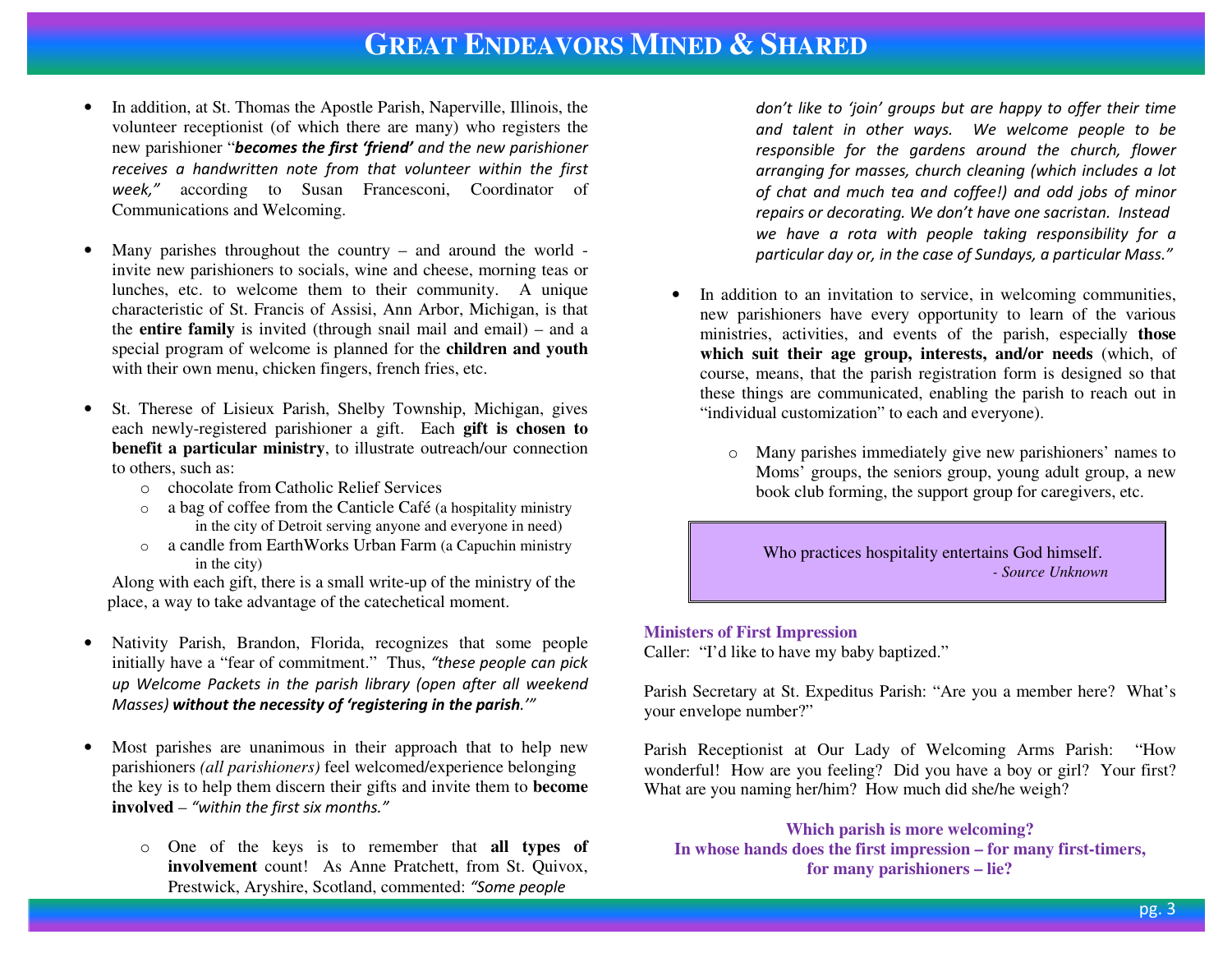### **GREAT ENDEAVORS MINED &SHARED**

- • In addition, at St. Thomas the Apostle Parish, Naperville, Illinois, the volunteer receptionist (of which there are many) who registers the new parishioner "**becomes the first 'friend'** and the new parishioner receives a handwritten note from that volunteer within the first week," according to Susan Francesconi, Coordinator of Communications and Welcoming.
- • Many parishes throughout the country – and around the world invite new parishioners to socials, wine and cheese, morning teas or lunches, etc. to welcome them to their community. A unique characteristic of St. Francis of Assisi, Ann Arbor, Michigan, is that the **entire family** is invited (through snail mail and email) – and a special program of welcome is planned for the **children and youth**with their own menu, chicken fingers, french fries, etc.
- • St. Therese of Lisieux Parish, Shelby Township, Michigan, gives each newly-registered parishioner a gift. Each **gift is chosen to benefit a particular ministry**, to illustrate outreach/our connection to others, such as:
	- $\circ$  chocolate from Catholic Relief Services
	- o a bag of coffee from the Canticle Café (a hospitality ministry in the city of Detroit serving anyone and everyone in need)
	- a candle from EarthWorks Urban Farm (a Capuchin ministry oin the city)

 Along with each gift, there is a small write-up of the ministry of the place, a way to take advantage of the catechetical moment.

- • Nativity Parish, Brandon, Florida, recognizes that some people initially have a "fear of commitment." Thus, "these people can pick up Welcome Packets in the parish library (open after all weekend Masses) without the necessity of 'registering in the parish.'"
- • Most parishes are unanimous in their approach that to help new parishioners *(all parishioners)* feel welcomed/experience belonging the key is to help them discern their gifts and invite them to **becomeinvolved** – "within the first six months."
	- o One of the keys is to remember that **all types of involvement** count! As Anne Pratchett, from St. Quivox, Prestwick, Aryshire, Scotland, commented: "Some people

don't like to 'join' groups but are happy to offer their time and talent in other ways. We welcome people to be responsible for the gardens around the church, flower arranging for masses, church cleaning (which includes a lot of chat and much tea and coffee!) and odd jobs of minor repairs or decorating. We don't have one sacristan. Instead we have a rota with people taking responsibility for a particular day or, in the case of Sundays, a particular Mass."

- • In addition to an invitation to service, in welcoming communities, new parishioners have every opportunity to learn of the various ministries, activities, and events of the parish, especially **those which suit their age group, interests, and/or needs** (which, of course, means, that the parish registration form is designed so that these things are communicated, enabling the parish to reach out in "individual customization" to each and everyone).
	- o Many parishes immediately give new parishioners' names to Moms' groups, the seniors group, young adult group, a new book club forming, the support group for caregivers, etc.

Who practices hospitality entertains God himself.  *- Source Unknown* 

#### **Ministers of First Impression**

Caller: "I'd like to have my baby baptized."

Parish Secretary at St. Expeditus Parish: "Are you a member here? What's your envelope number?"

Parish Receptionist at Our Lady of Welcoming Arms Parish: "How wonderful! How are you feeling? Did you have a boy or girl? Your first? What are you naming her/him? How much did she/he weigh?

**Which parish is more welcoming? In whose hands does the first impression – for many first-timers, for many parishioners – lie?**